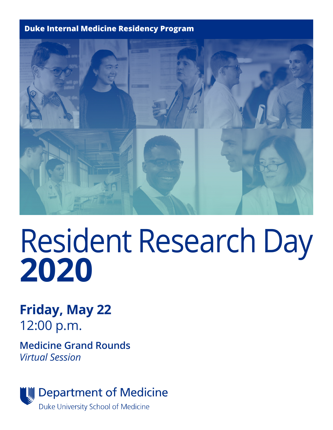#### **Duke Internal Medicine Residency Program**



# Resident Research Day **2020**

**Friday, May 22** 12:00 p.m.

**Medicine Grand Rounds** *Virtual Session*

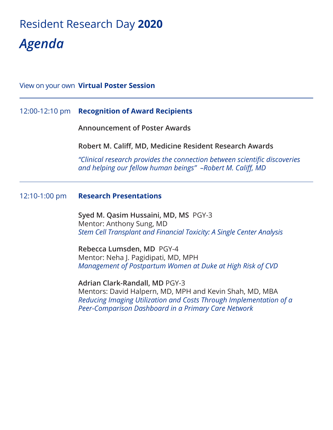# Resident Research Day **2020** *Agenda*

## View on your own **Virtual Poster Session**

#### 12:00-12:10 pm **Recognition of Award Recipients**

**Announcement of Poster Awards** 

**Robert M. Califf, MD, Medicine Resident Research Awards**

*"Clinical research provides the connection between scientific discoveries and helping our fellow human beings" –Robert M. Califf, MD*

#### 12:10-1:00 pm **Research Presentations**

**Syed M. Qasim Hussaini, MD, MS** PGY-3 Mentor: Anthony Sung, MD *Stem Cell Transplant and Financial Toxicity: A Single Center Analysis*

**Rebecca Lumsden, MD** PGY-4 Mentor: Neha J. Pagidipati, MD, MPH *Management of Postpartum Women at Duke at High Risk of CVD*

**Adrian Clark-Randall, MD** PGY-3 Mentors: David Halpern, MD, MPH and Kevin Shah, MD, MBA *Reducing Imaging Utilization and Costs Through Implementation of a Peer-Comparison Dashboard in a Primary Care Network*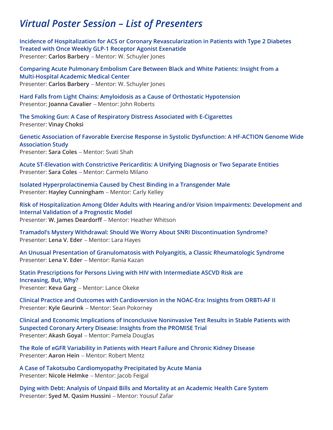## *Virtual Poster Session – List of Presenters*

**Incidence of Hospitalization for ACS or Coronary Revascularization in Patients with Type 2 Diabetes Treated with Once Weekly GLP-1 Receptor Agonist Exenatide** Presenter: **Carlos Barbery** *–* Mentor: W. Schuyler Jones

**Comparing Acute Pulmonary Embolism Care Between Black and White Patients: Insight from a Multi-Hospital Academic Medical Center** Presenter: **Carlos Barbery** *–* Mentor: W. Schuyler Jones

**Hard Falls from Light Chains: Amyloidosis as a Cause of Orthostatic Hypotension** Presentor: **Joanna Cavalier** *–* Mentor: John Roberts

**The Smoking Gun: A Case of Respiratory Distress Associated with E-Cigarettes** Presenter: **Vinay Choksi**

**Genetic Association of Favorable Exercise Response in Systolic Dysfunction: A HF-ACTION Genome Wide Association Study** Presenter: **Sara Coles** *–* Mentor: Svati Shah

**Acute ST-Elevation with Constrictive Pericarditis: A Unifying Diagnosis or Two Separate Entities** Presenter: **Sara Coles** *–* Mentor: Carmelo Milano

**Isolated Hyperprolactinemia Caused by Chest Binding in a Transgender Male** Presenter: **Hayley Cunningham** *–* Mentor: Carly Kelley

**Risk of Hospitalization Among Older Adults with Hearing and/or Vision Impairments: Development and Internal Validation of a Prognostic Model** Presenter: **W. James Deardorff** *–* Mentor: Heather Whitson

**Tramadol's Mystery Withdrawal: Should We Worry About SNRI Discontinuation Syndrome?** Presenter: **Lena V. Eder** *–* Mentor: Lara Hayes

**An Unusual Presentation of Granulomatosis with Polyangitis, a Classic Rheumatologic Syndrome** Presenter: **Lena V. Eder** *–* Mentor: Rania Kazan

**Statin Prescriptions for Persons Living with HIV with Intermediate ASCVD Risk are Increasing, But, Why?** Presenter: **Keva Garg** *–* Mentor: Lance Okeke

**Clinical Practice and Outcomes with Cardioversion in the NOAC-Era: Insights from ORBTI-AF II**  Presenter: **Kyle Geurink** *–* Mentor: Sean Pokorney

**Clinical and Economic Implications of Inconclusive Noninvasive Test Results in Stable Patients with Suspected Coronary Artery Disease: Insights from the PROMISE Trial** Presenter: **Akash Goyal** *–* Mentor: Pamela Douglas

**The Role of eGFR Variability in Patients with Heart Failure and Chronic Kidney Disease** Presenter: **Aaron Hein** *–* Mentor: Robert Mentz

**A Case of Takotsubo Cardiomyopathy Precipitated by Acute Mania** Presenter: **Nicole Helmke** *–* Mentor: Jacob Feigal

**Dying with Debt: Analysis of Unpaid Bills and Mortality at an Academic Health Care System** Presenter: **Syed M. Qasim Hussini** *–* Mentor: Yousuf Zafar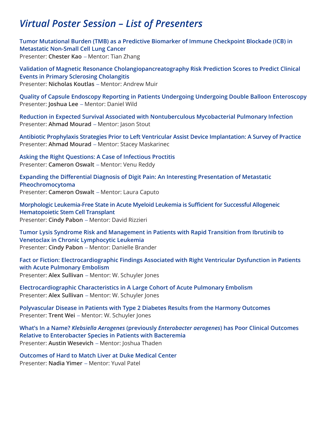## *Virtual Poster Session – List of Presenters*

**Tumor Mutational Burden (TMB) as a Predictive Biomarker of Immune Checkpoint Blockade (ICB) in Metastatic Non-Small Cell Lung Cancer** Presenter: **Chester Kao** *–* Mentor: Tian Zhang

**Validation of Magnetic Resonance Cholangiopancreatography Risk Prediction Scores to Predict Clinical Events in Primary Sclerosing Cholangitis** Presenter: **Nicholas Koutlas** *–* Mentor: Andrew Muir

**Quality of Capsule Endoscopy Reporting in Patients Undergoing Undergoing Double Balloon Enteroscopy**  Presenter: **Joshua Lee** *–* Mentor: Daniel Wild

**Reduction in Expected Survival Associated with Nontuberculous Mycobacterial Pulmonary Infection** Presenter: **Ahmad Mourad** *–* Mentor: Jason Stout

**Antibiotic Prophylaxis Strategies Prior to Left Ventricular Assist Device Implantation: A Survey of Practice** Presenter: **Ahmad Mourad** *–* Mentor: Stacey Maskarinec

**Asking the Right Questions: A Case of Infectious Proctitis** Presenter: **Cameron Oswalt** *–* Mentor: Venu Reddy

**Expanding the Differential Diagnosis of Digit Pain: An Interesting Presentation of Metastatic Pheochromocytoma** Presenter: **Cameron Oswalt** *–* Mentor: Laura Caputo

**Morphologic Leukemia-Free State in Acute Myeloid Leukemia is Sufficient for Successful Allogeneic Hematopoietic Stem Cell Transplant** Presenter: **Cindy Pabon** *–* Mentor: David Rizzieri

**Tumor Lysis Syndrome Risk and Management in Patients with Rapid Transition from Ibrutinib to Venetoclax in Chronic Lymphocytic Leukemia**  Presenter: **Cindy Pabon** *–* Mentor: Danielle Brander

**Fact or Fiction: Electrocardiographic Findings Associated with Right Ventricular Dysfunction in Patients with Acute Pulmonary Embolism** Presenter: **Alex Sullivan** *–* Mentor: W. Schuyler Jones

**Electrocardiographic Characteristics in A Large Cohort of Acute Pulmonary Embolism** Presenter: **Alex Sullivan** *–* Mentor: W. Schuyler Jones

**Polyvascular Disease in Patients with Type 2 Diabetes Results from the Harmony Outcomes** Presenter: **Trent Wei** *–* Mentor: W. Schuyler Jones

**What's In a Name?** *Klebsiella Aerogenes* **(previously** *Enterobacter aerogenes***) has Poor Clinical Outcomes Relative to Enterobacter Species in Patients with Bacteremia** Presenter: **Austin Wesevich** *–* Mentor: Joshua Thaden

**Outcomes of Hard to Match Liver at Duke Medical Center** Presenter: **Nadia Yimer** *–* Mentor: Yuval Patel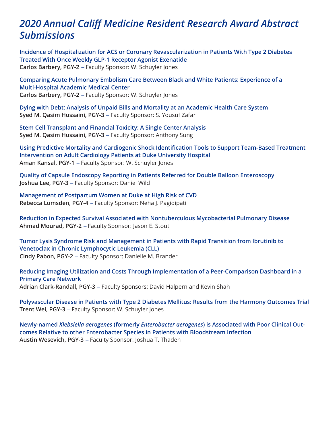## *2020 Annual Califf Medicine Resident Research Award Abstract Submissions*

**Incidence of Hospitalization for ACS or Coronary Revascularization in Patients With Type 2 Diabetes Treated With Once Weekly GLP-1 Receptor Agonist Exenatide Carlos Barbery, PGY-2** *–* Faculty Sponsor: W. Schuyler Jones

**Comparing Acute Pulmonary Embolism Care Between Black and White Patients: Experience of a Multi-Hospital Academic Medical Center Carlos Barbery, PGY-2** *–* Faculty Sponsor: W. Schuyler Jones

**Dying with Debt: Analysis of Unpaid Bills and Mortality at an Academic Health Care System Syed M. Qasim Hussaini, PGY-3** *–* Faculty Sponsor: S. Yousuf Zafar

**Stem Cell Transplant and Financial Toxicity: A Single Center Analysis Syed M. Qasim Hussaini, PGY-3** *–* Faculty Sponsor: Anthony Sung

**Using Predictive Mortality and Cardiogenic Shock Identification Tools to Support Team-Based Treatment Intervention on Adult Cardiology Patients at Duke University Hospital Aman Kansal, PGY-1** *–* Faculty Sponsor: W. Schuyler Jones

**Quality of Capsule Endoscopy Reporting in Patients Referred for Double Balloon Enteroscopy Joshua Lee, PGY-3** *–* Faculty Sponsor: Daniel Wild

**Management of Postpartum Women at Duke at High Risk of CVD Rebecca Lumsden, PGY-4** *–* Faculty Sponsor: Neha J. Pagidipati

**Reduction in Expected Survival Associated with Nontuberculous Mycobacterial Pulmonary Disease Ahmad Mourad, PGY-2** *–* Faculty Sponsor: Jason E. Stout

**Tumor Lysis Syndrome Risk and Management in Patients with Rapid Transition from Ibrutinib to Venetoclax in Chronic Lymphocytic Leukemia (CLL) Cindy Pabon, PGY-2** *–* Faculty Sponsor: Danielle M. Brander

**Reducing Imaging Utilization and Costs Through Implementation of a Peer-Comparison Dashboard in a Primary Care Network Adrian Clark-Randall, PGY-3** *–* Faculty Sponsors: David Halpern and Kevin Shah

**Polyvascular Disease in Patients with Type 2 Diabetes Mellitus: Results from the Harmony Outcomes Trial Trent Wei, PGY-3** *–* Faculty Sponsor: W. Schuyler Jones

**Newly-named** *Klebsiella aerogenes* **(formerly** *Enterobacter aerogenes***) is Associated with Poor Clinical Outcomes Relative to other Enterobacter Species in Patients with Bloodstream Infection Austin Wesevich, PGY-3** *–* Faculty Sponsor: Joshua T. Thaden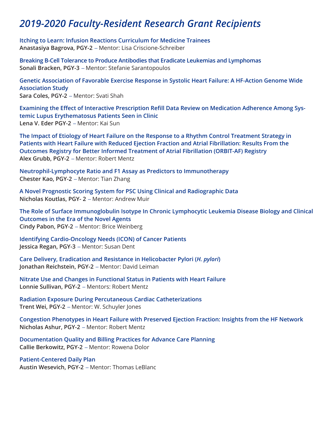## *2019-2020 Faculty-Resident Research Grant Recipients*

**Itching to Learn: Infusion Reactions Curriculum for Medicine Trainees Anastasiya Bagrova, PGY-2** *–* Mentor: Lisa Criscione-Schreiber

**Breaking B-Cell Tolerance to Produce Antibodies that Eradicate Leukemias and Lymphomas Sonali Bracken, PGY-3** *–* Mentor: Stefanie Sarantopoulos

**Genetic Association of Favorable Exercise Response in Systolic Heart Failure: A HF-Action Genome Wide Association Study Sara Coles, PGY-2** *–* Mentor: Svati Shah

**Examining the Effect of Interactive Prescription Refill Data Review on Medication Adherence Among Systemic Lupus Erythematosus Patients Seen in Clinic Lena V. Eder PGY-2** *–* Mentor: Kai Sun

**The Impact of Etiology of Heart Failure on the Response to a Rhythm Control Treatment Strategy in Patients with Heart Failure with Reduced Ejection Fraction and Atrial Fibrillation: Results From the Outcomes Registry for Better Informed Treatment of Atrial Fibrillation (ORBIT-AF) Registry Alex Grubb, PGY-2** *–* Mentor: Robert Mentz

**Neutrophil-Lymphocyte Ratio and F1 Assay as Predictors to Immunotherapy Chester Kao, PGY-2** *–* Mentor: Tian Zhang

**A Novel Prognostic Scoring System for PSC Using Clinical and Radiographic Data Nicholas Koutlas, PGY- 2** *–* Mentor: Andrew Muir

**The Role of Surface Immunoglobulin Isotype In Chronic Lymphocytic Leukemia Disease Biology and Clinical Outcomes in the Era of the Novel Agents Cindy Pabon, PGY-2** *–* Mentor: Brice Weinberg

**Identifying Cardio-Oncology Needs (ICON) of Cancer Patients Jessica Regan, PGY-3** *–* Mentor: Susan Dent

**Care Delivery, Eradication and Resistance in Helicobacter Pylori (***H. pylori***) Jonathan Reichstein, PGY-2** *–* Mentor: David Leiman

**Nitrate Use and Changes in Functional Status in Patients with Heart Failure Lonnie Sullivan, PGY-2** *–* Mentors: Robert Mentz

**Radiation Exposure During Percutaneous Cardiac Catheterizations Trent Wei, PGY-2** *–* Mentor: W. Schuyler Jones

**Congestion Phenotypes in Heart Failure with Preserved Ejection Fraction: Insights from the HF Network Nicholas Ashur, PGY-2** *–* Mentor: Robert Mentz

**Documentation Quality and Billing Practices for Advance Care Planning Callie Berkowitz, PGY-2** *–* Mentor: Rowena Dolor

#### **Patient-Centered Daily Plan**

**Austin Wesevich, PGY-2** *–* Mentor: Thomas LeBlanc